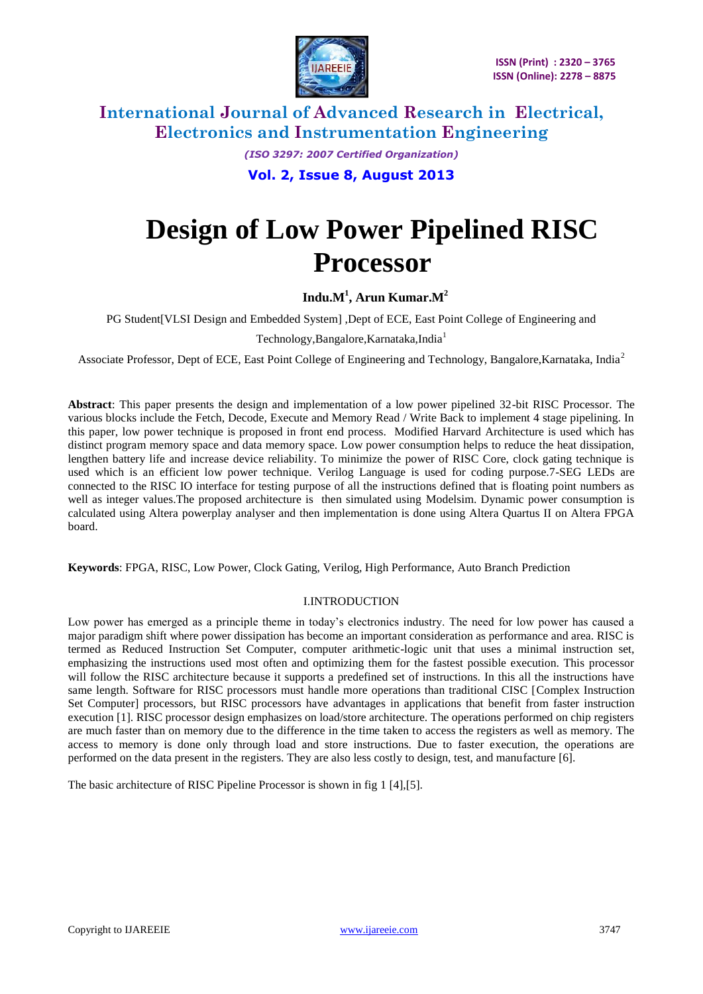

> *(ISO 3297: 2007 Certified Organization)* **Vol. 2, Issue 8, August 2013**

# **Design of Low Power Pipelined RISC Processor**

**Indu.M<sup>1</sup> , Arun Kumar.M<sup>2</sup>**

PG Student[VLSI Design and Embedded System] ,Dept of ECE, East Point College of Engineering and

Technology, Bangalore, Karnataka, India<sup>1</sup>

Associate Professor, Dept of ECE, East Point College of Engineering and Technology, Bangalore,Karnataka, India<sup>2</sup>

**Abstract**: This paper presents the design and implementation of a low power pipelined 32-bit RISC Processor. The various blocks include the Fetch, Decode, Execute and Memory Read / Write Back to implement 4 stage pipelining. In this paper, low power technique is proposed in front end process. Modified Harvard Architecture is used which has distinct program memory space and data memory space. Low power consumption helps to reduce the heat dissipation, lengthen battery life and increase device reliability. To minimize the power of RISC Core, clock gating technique is used which is an efficient low power technique. Verilog Language is used for coding purpose.7-SEG LEDs are connected to the RISC IO interface for testing purpose of all the instructions defined that is floating point numbers as well as integer values.The proposed architecture is then simulated using Modelsim. Dynamic power consumption is calculated using Altera powerplay analyser and then implementation is done using Altera Quartus II on Altera FPGA board.

**Keywords**: FPGA, RISC, Low Power, Clock Gating, Verilog, High Performance, Auto Branch Prediction

### I.INTRODUCTION

Low power has emerged as a principle theme in today's electronics industry. The need for low power has caused a major paradigm shift where power dissipation has become an important consideration as performance and area. RISC is termed as Reduced Instruction Set Computer, computer arithmetic-logic unit that uses a minimal instruction set, emphasizing the instructions used most often and optimizing them for the fastest possible execution. This processor will follow the RISC architecture because it supports a predefined set of instructions. In this all the instructions have same length. Software for RISC processors must handle more operations than traditional CISC [Complex Instruction Set Computer] processors, but RISC processors have advantages in applications that benefit from faster instruction execution [1]. RISC processor design emphasizes on load/store architecture. The operations performed on chip registers are much faster than on memory due to the difference in the time taken to access the registers as well as memory. The access to memory is done only through load and store instructions. Due to faster execution, the operations are performed on the data present in the registers. They are also less costly to design, test, and manufacture [6].

The basic architecture of RISC Pipeline Processor is shown in fig 1 [4],[5].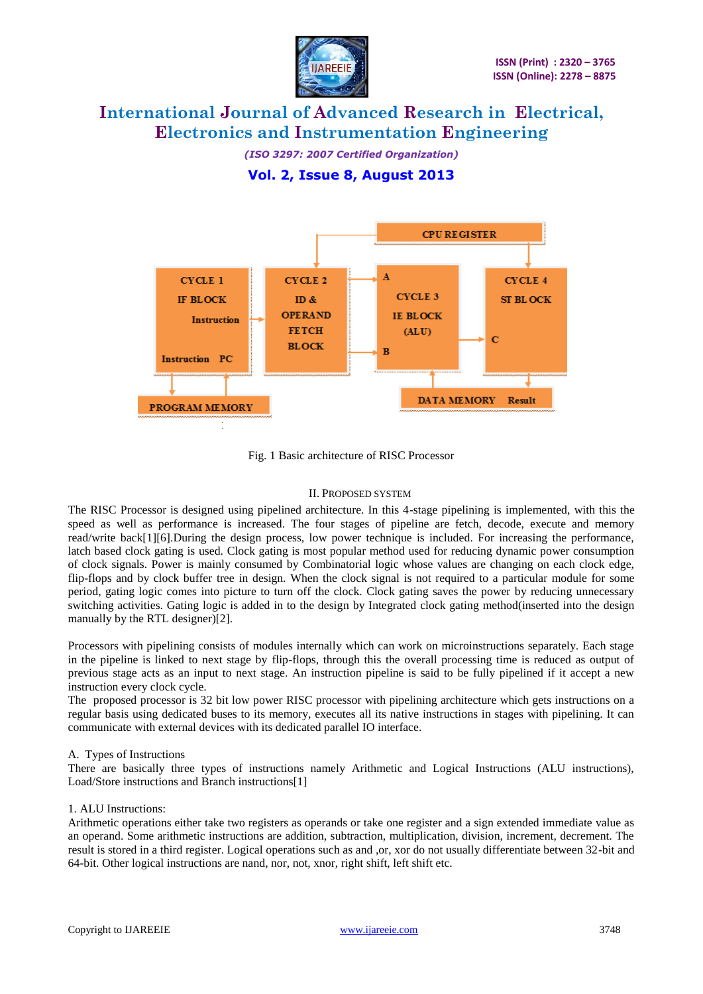

*(ISO 3297: 2007 Certified Organization)* **Vol. 2, Issue 8, August 2013**



Fig. 1 Basic architecture of RISC Processor

### II. PROPOSED SYSTEM

The RISC Processor is designed using pipelined architecture. In this 4-stage pipelining is implemented, with this the speed as well as performance is increased. The four stages of pipeline are fetch, decode, execute and memory read/write back[1][6].During the design process, low power technique is included. For increasing the performance, latch based clock gating is used. Clock gating is most popular method used for reducing dynamic power consumption of clock signals. Power is mainly consumed by Combinatorial logic whose values are changing on each clock edge, flip-flops and by clock buffer tree in design. When the clock signal is not required to a particular module for some period, gating logic comes into picture to turn off the clock. Clock gating saves the power by reducing unnecessary switching activities. Gating logic is added in to the design by Integrated clock gating method(inserted into the design manually by the RTL designer)[2].

Processors with pipelining consists of modules internally which can work on microinstructions separately. Each stage in the pipeline is linked to next stage by flip-flops, through this the overall processing time is reduced as output of previous stage acts as an input to next stage. An instruction pipeline is said to be fully pipelined if it accept a new instruction every clock cycle.

The proposed processor is 32 bit low power RISC processor with pipelining architecture which gets instructions on a regular basis using dedicated buses to its memory, executes all its native instructions in stages with pipelining. It can communicate with external devices with its dedicated parallel IO interface.

### A. Types of Instructions

There are basically three types of instructions namely Arithmetic and Logical Instructions (ALU instructions), Load/Store instructions and Branch instructions[1]

### 1. ALU Instructions:

Arithmetic operations either take two registers as operands or take one register and a sign extended immediate value as an operand. Some arithmetic instructions are addition, subtraction, multiplication, division, increment, decrement. The result is stored in a third register. Logical operations such as and ,or, xor do not usually differentiate between 32-bit and 64-bit. Other logical instructions are nand, nor, not, xnor, right shift, left shift etc.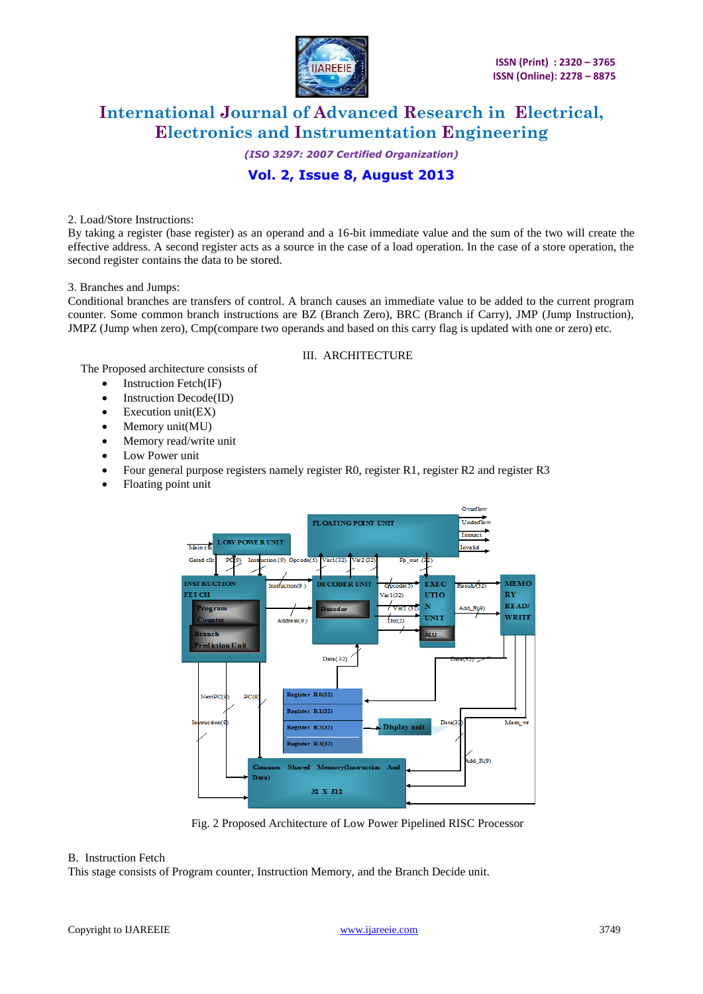

*(ISO 3297: 2007 Certified Organization)*

# **Vol. 2, Issue 8, August 2013**

2. Load/Store Instructions:

By taking a register (base register) as an operand and a 16-bit immediate value and the sum of the two will create the effective address. A second register acts as a source in the case of a load operation. In the case of a store operation, the second register contains the data to be stored.

#### 3. Branches and Jumps:

Conditional branches are transfers of control. A branch causes an immediate value to be added to the current program counter. Some common branch instructions are BZ (Branch Zero), BRC (Branch if Carry), JMP (Jump Instruction), JMPZ (Jump when zero), Cmp(compare two operands and based on this carry flag is updated with one or zero) etc.

### III. ARCHITECTURE

The Proposed architecture consists of

- Instruction Fetch(IF)
- Instruction Decode(ID)
- $\bullet$  Execution unit(EX)
- Memory unit(MU)
- Memory read/write unit
- Low Power unit
- Four general purpose registers namely register R0, register R1, register R2 and register R3
- Floating point unit



Fig. 2 Proposed Architecture of Low Power Pipelined RISC Processor

#### B. Instruction Fetch

This stage consists of Program counter, Instruction Memory, and the Branch Decide unit.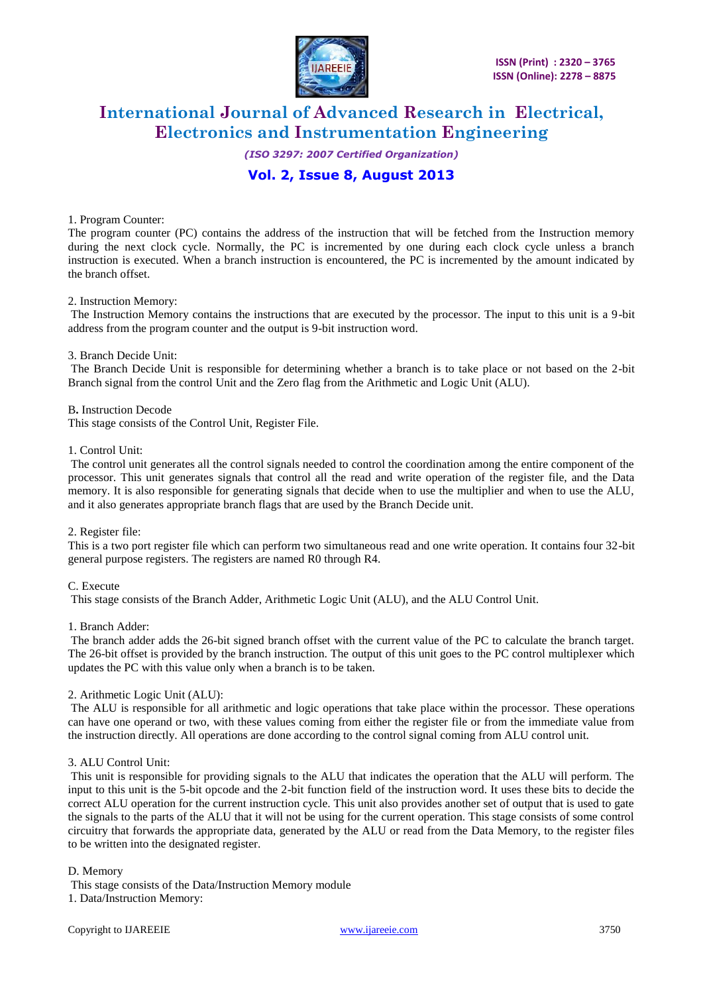

*(ISO 3297: 2007 Certified Organization)*

# **Vol. 2, Issue 8, August 2013**

#### 1. Program Counter:

The program counter (PC) contains the address of the instruction that will be fetched from the Instruction memory during the next clock cycle. Normally, the PC is incremented by one during each clock cycle unless a branch instruction is executed. When a branch instruction is encountered, the PC is incremented by the amount indicated by the branch offset.

#### 2. Instruction Memory:

The Instruction Memory contains the instructions that are executed by the processor. The input to this unit is a 9-bit address from the program counter and the output is 9-bit instruction word.

### 3. Branch Decide Unit:

The Branch Decide Unit is responsible for determining whether a branch is to take place or not based on the 2-bit Branch signal from the control Unit and the Zero flag from the Arithmetic and Logic Unit (ALU).

B**.** Instruction Decode This stage consists of the Control Unit, Register File.

#### 1. Control Unit:

The control unit generates all the control signals needed to control the coordination among the entire component of the processor. This unit generates signals that control all the read and write operation of the register file, and the Data memory. It is also responsible for generating signals that decide when to use the multiplier and when to use the ALU, and it also generates appropriate branch flags that are used by the Branch Decide unit.

#### 2. Register file:

This is a two port register file which can perform two simultaneous read and one write operation. It contains four 32-bit general purpose registers. The registers are named R0 through R4.

#### C. Execute

This stage consists of the Branch Adder, Arithmetic Logic Unit (ALU), and the ALU Control Unit.

#### 1. Branch Adder:

The branch adder adds the 26-bit signed branch offset with the current value of the PC to calculate the branch target. The 26-bit offset is provided by the branch instruction. The output of this unit goes to the PC control multiplexer which updates the PC with this value only when a branch is to be taken.

### 2. Arithmetic Logic Unit (ALU):

The ALU is responsible for all arithmetic and logic operations that take place within the processor. These operations can have one operand or two, with these values coming from either the register file or from the immediate value from the instruction directly. All operations are done according to the control signal coming from ALU control unit.

#### 3. ALU Control Unit:

This unit is responsible for providing signals to the ALU that indicates the operation that the ALU will perform. The input to this unit is the 5-bit opcode and the 2-bit function field of the instruction word. It uses these bits to decide the correct ALU operation for the current instruction cycle. This unit also provides another set of output that is used to gate the signals to the parts of the ALU that it will not be using for the current operation. This stage consists of some control circuitry that forwards the appropriate data, generated by the ALU or read from the Data Memory, to the register files to be written into the designated register.

### D. Memory

This stage consists of the Data/Instruction Memory module

1. Data/Instruction Memory: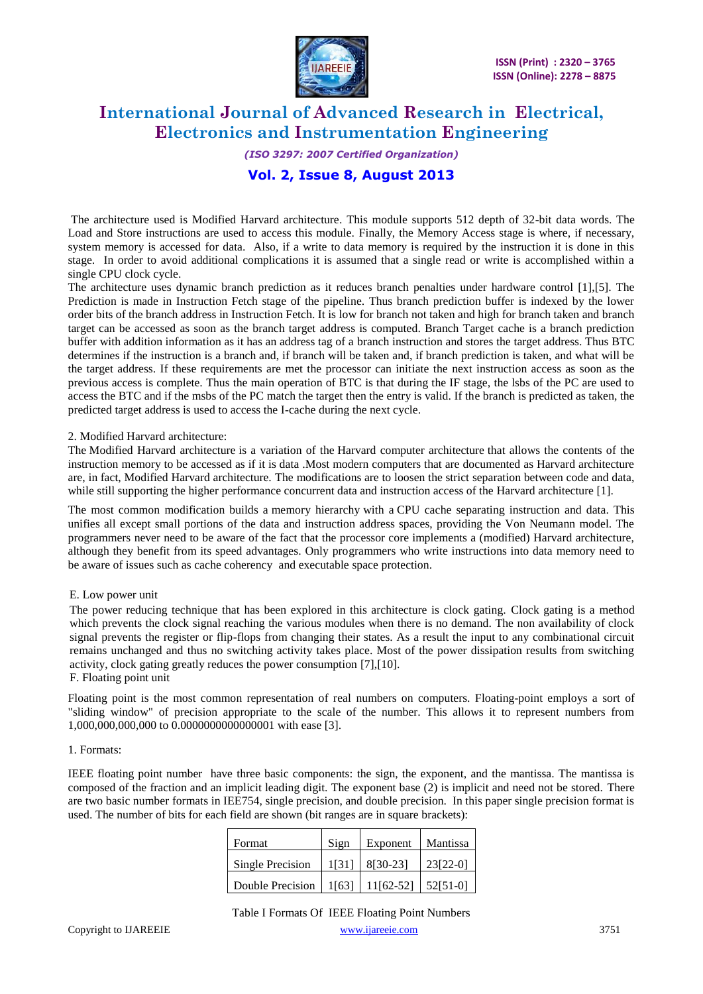

# *(ISO 3297: 2007 Certified Organization)*

### **Vol. 2, Issue 8, August 2013**

The architecture used is Modified Harvard architecture. This module supports 512 depth of 32-bit data words. The Load and Store instructions are used to access this module. Finally, the Memory Access stage is where, if necessary, system memory is accessed for data. Also, if a write to data memory is required by the instruction it is done in this stage. In order to avoid additional complications it is assumed that a single read or write is accomplished within a single CPU clock cycle.

The architecture uses dynamic branch prediction as it reduces branch penalties under hardware control [1],[5]. The Prediction is made in Instruction Fetch stage of the pipeline. Thus branch prediction buffer is indexed by the lower order bits of the branch address in Instruction Fetch. It is low for branch not taken and high for branch taken and branch target can be accessed as soon as the branch target address is computed. Branch Target cache is a branch prediction buffer with addition information as it has an address tag of a branch instruction and stores the target address. Thus BTC determines if the instruction is a branch and, if branch will be taken and, if branch prediction is taken, and what will be the target address. If these requirements are met the processor can initiate the next instruction access as soon as the previous access is complete. Thus the main operation of BTC is that during the IF stage, the lsbs of the PC are used to access the BTC and if the msbs of the PC match the target then the entry is valid. If the branch is predicted as taken, the predicted target address is used to access the I-cache during the next cycle.

### 2. Modified Harvard architecture:

The Modified Harvard architecture is a variation of the Harvard computer architecture that allows the contents of the instruction memory to be accessed as if it is data .Most modern computers that are documented as Harvard architecture are, in fact, Modified Harvard architecture. The modifications are to loosen the strict separation between code and data, while still supporting the higher performance concurrent data and instruction access of the Harvard architecture [1].

The most common modification builds a memory hierarchy with a CPU cache separating instruction and data. This unifies all except small portions of the data and instruction address spaces, providing the Von Neumann model. The programmers never need to be aware of the fact that the processor core implements a (modified) Harvard architecture, although they benefit from its speed advantages. Only programmers who write instructions into data memory need to be aware of issues such as cache coherency and executable space protection.

### E. Low power unit

The power reducing technique that has been explored in this architecture is clock gating. Clock gating is a method which prevents the clock signal reaching the various modules when there is no demand. The non availability of clock signal prevents the register or flip-flops from changing their states. As a result the input to any combinational circuit remains unchanged and thus no switching activity takes place. Most of the power dissipation results from switching activity, clock gating greatly reduces the power consumption [7],[10].

#### F. Floating point unit

Floating point is the most common representation of real numbers on computers. Floating-point employs a sort of "sliding window" of precision appropriate to the scale of the number. This allows it to represent numbers from 1,000,000,000,000 to 0.0000000000000001 with ease [3].

### 1. Formats:

IEEE floating point number have three basic components: the sign, the exponent, and the mantissa. The mantissa is composed of the fraction and an implicit leading digit. The exponent base (2) is implicit and need not be stored. There are two basic number formats in IEE754, single precision, and double precision. In this paper single precision format is used. The number of bits for each field are shown (bit ranges are in square brackets):

| Format                                          | Sign  | Exponent   | Mantissa |
|-------------------------------------------------|-------|------------|----------|
| Single Precision                                | 1[31] | $8[30-23]$ | 23[22-0] |
| Double Precision   1[63]   11[62-52]   52[51-0] |       |            |          |

### Table I Formats Of IEEE Floating Point Numbers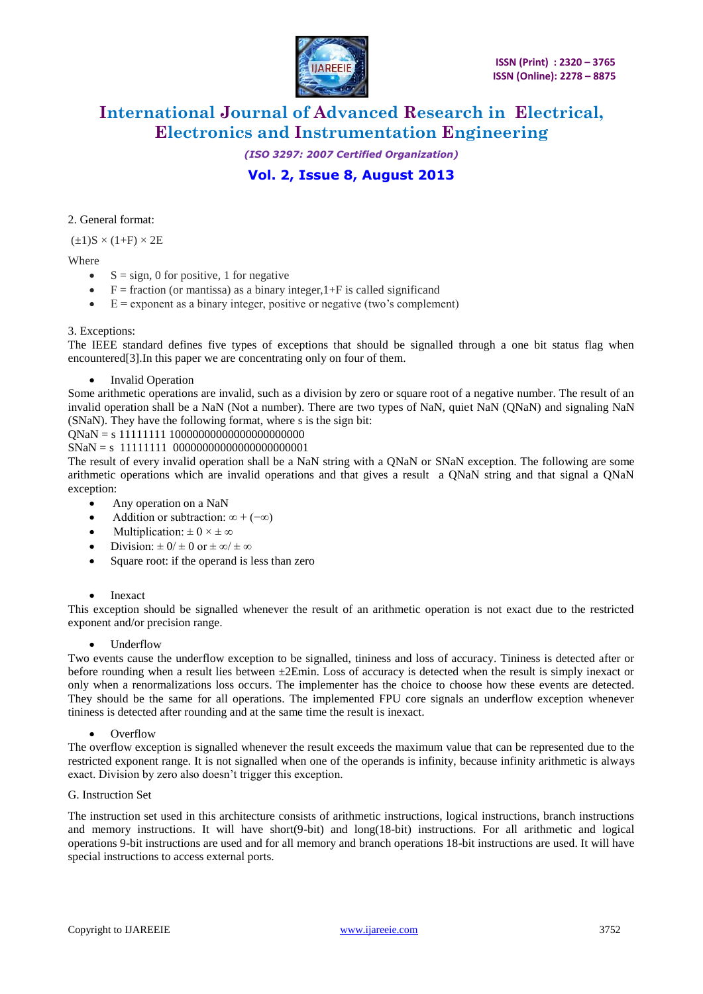

*(ISO 3297: 2007 Certified Organization)*

# **Vol. 2, Issue 8, August 2013**

### 2. General format:

 $(\pm 1)$ S ×  $(1+F)$  × 2E

### Where

- $S = sign, 0$  for positive, 1 for negative
- $\bullet$  F = fraction (or mantissa) as a binary integer, 1+F is called significand
- $\bullet$   $E =$  exponent as a binary integer, positive or negative (two's complement)

### 3. Exceptions:

The IEEE standard defines five types of exceptions that should be signalled through a one bit status flag when encountered<sup>[3]</sup>. In this paper we are concentrating only on four of them.

### • Invalid Operation

Some arithmetic operations are invalid, such as a division by zero or square root of a negative number. The result of an invalid operation shall be a NaN (Not a number). There are two types of NaN, quiet NaN (QNaN) and signaling NaN (SNaN). They have the following format, where s is the sign bit:

QNaN = s 11111111 10000000000000000000000

 $SNaN = s 11111111 00000000000000000000001$ 

The result of every invalid operation shall be a NaN string with a QNaN or SNaN exception. The following are some arithmetic operations which are invalid operations and that gives a result a QNaN string and that signal a QNaN exception:

- Any operation on a NaN
- Addition or subtraction:  $\infty + (-\infty)$
- Multiplication:  $\pm 0 \times \pm \infty$
- Division:  $\pm 0/\pm 0$  or  $\pm \infty/\pm \infty$
- Square root: if the operand is less than zero

### • Inexact

This exception should be signalled whenever the result of an arithmetic operation is not exact due to the restricted exponent and/or precision range.

### • Underflow

Two events cause the underflow exception to be signalled, tininess and loss of accuracy. Tininess is detected after or before rounding when a result lies between  $\pm 2$ Emin. Loss of accuracy is detected when the result is simply inexact or only when a renormalizations loss occurs. The implementer has the choice to choose how these events are detected. They should be the same for all operations. The implemented FPU core signals an underflow exception whenever tininess is detected after rounding and at the same time the result is inexact.

### **Overflow**

The overflow exception is signalled whenever the result exceeds the maximum value that can be represented due to the restricted exponent range. It is not signalled when one of the operands is infinity, because infinity arithmetic is always exact. Division by zero also doesn't trigger this exception.

### G. Instruction Set

The instruction set used in this architecture consists of arithmetic instructions, logical instructions, branch instructions and memory instructions. It will have short(9-bit) and long(18-bit) instructions. For all arithmetic and logical operations 9-bit instructions are used and for all memory and branch operations 18-bit instructions are used. It will have special instructions to access external ports.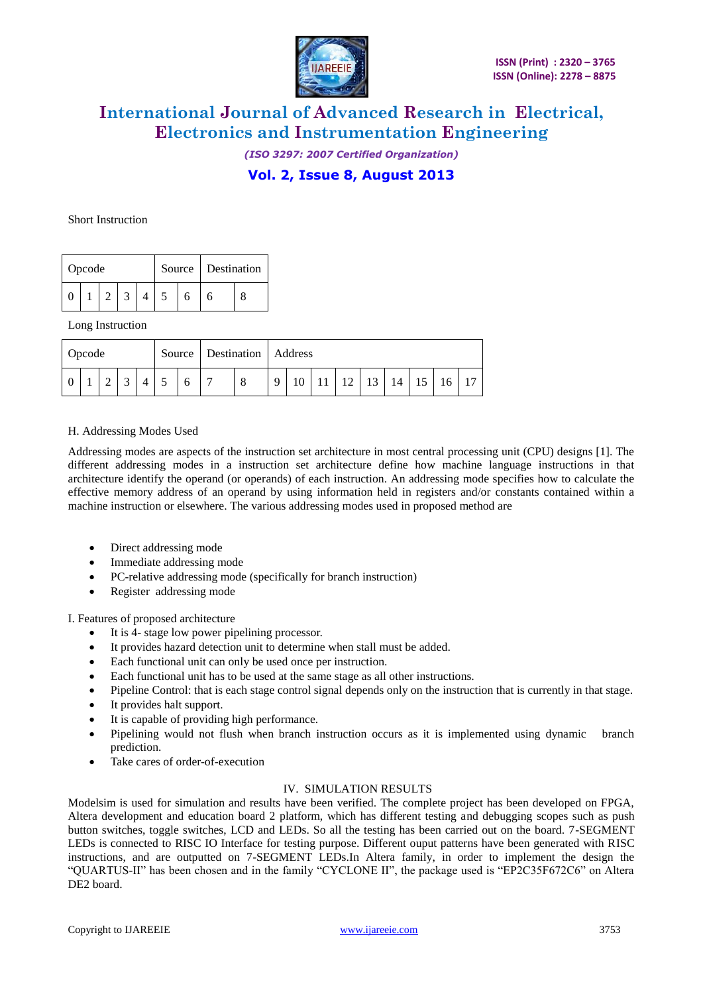

*(ISO 3297: 2007 Certified Organization)* **Vol. 2, Issue 8, August 2013**

#### Short Instruction

| Opcode |  |  |  |  |  | Source   Destination |  |  |
|--------|--|--|--|--|--|----------------------|--|--|
|        |  |  |  |  |  |                      |  |  |

Long Instruction

| Opcode |  |  |  |   | Source   Destination   Address |    |  |                 |  |                      |  |  |
|--------|--|--|--|---|--------------------------------|----|--|-----------------|--|----------------------|--|--|
|        |  |  |  | 8 | $\mathbf Q$                    | 10 |  | 12 <sub>1</sub> |  | $13 \mid 14 \mid 15$ |  |  |

### H. Addressing Modes Used

Addressing modes are aspects of the instruction set architecture in most central processing unit (CPU) designs [1]. The different addressing modes in a instruction set architecture define how machine language instructions in that architecture identify the operand (or operands) of each instruction. An addressing mode specifies how to calculate the effective memory address of an operand by using information held in registers and/or constants contained within a machine instruction or elsewhere. The various addressing modes used in proposed method are

- Direct addressing mode
- Immediate addressing mode
- PC-relative addressing mode (specifically for branch instruction)
- Register addressing mode

I. Features of proposed architecture

- It is 4- stage low power pipelining processor.
- It provides hazard detection unit to determine when stall must be added.
- Each functional unit can only be used once per instruction.
- Each functional unit has to be used at the same stage as all other instructions.
- Pipeline Control: that is each stage control signal depends only on the instruction that is currently in that stage.
- It provides halt support.
- It is capable of providing high performance.
- Pipelining would not flush when branch instruction occurs as it is implemented using dynamic branch prediction.
- Take cares of order-of-execution

### IV. SIMULATION RESULTS

Modelsim is used for simulation and results have been verified. The complete project has been developed on FPGA, Altera development and education board 2 platform, which has different testing and debugging scopes such as push button switches, toggle switches, LCD and LEDs. So all the testing has been carried out on the board. 7-SEGMENT LEDs is connected to RISC IO Interface for testing purpose. Different ouput patterns have been generated with RISC instructions, and are outputted on 7-SEGMENT LEDs.In Altera family, in order to implement the design the "QUARTUS-II" has been chosen and in the family "CYCLONE II", the package used is "EP2C35F672C6" on Altera DE2 board.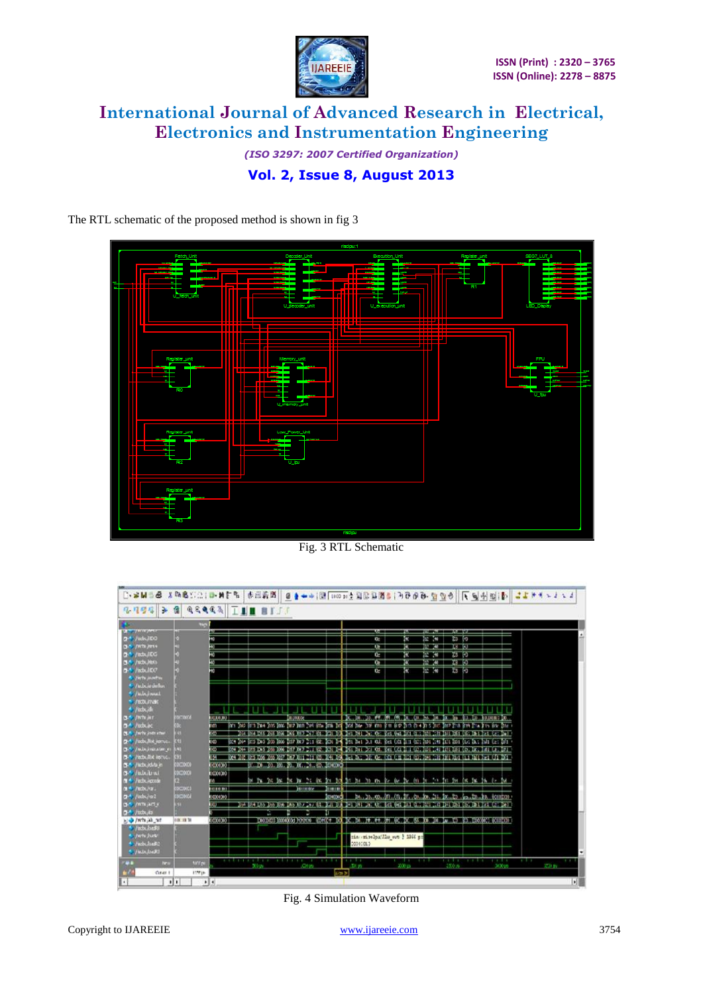

*(ISO 3297: 2007 Certified Organization)* **Vol. 2, Issue 8, August 2013**

The RTL schematic of the proposed method is shown in fig 3



Fig. 3 RTL Schematic



Fig. 4 Simulation Waveform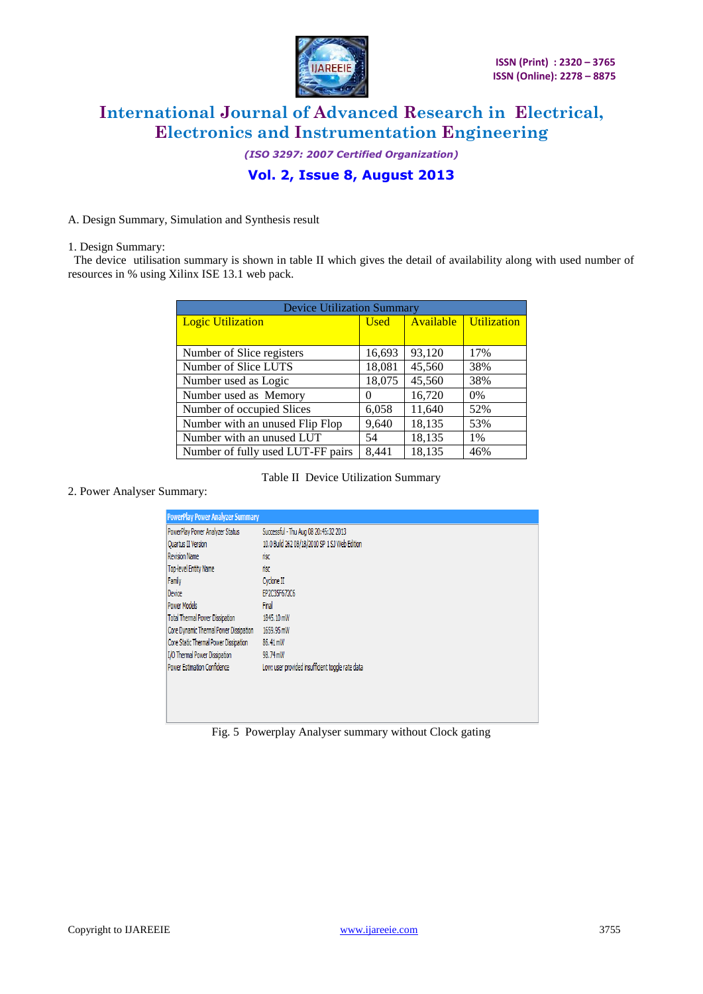

*(ISO 3297: 2007 Certified Organization)* **Vol. 2, Issue 8, August 2013**

A. Design Summary, Simulation and Synthesis result

1. Design Summary:

 The device utilisation summary is shown in table II which gives the detail of availability along with used number of resources in % using Xilinx ISE 13.1 web pack.

| <b>Device Utilization Summary</b> |             |        |                              |  |  |
|-----------------------------------|-------------|--------|------------------------------|--|--|
| <b>Logic Utilization</b>          | <b>Used</b> |        | <b>Available</b> Utilization |  |  |
|                                   |             |        |                              |  |  |
| Number of Slice registers         | 16,693      | 93,120 | 17%                          |  |  |
| Number of Slice LUTS              | 18,081      | 45,560 | 38%                          |  |  |
| Number used as Logic              | 18,075      | 45,560 | 38%                          |  |  |
| Number used as Memory             | $\theta$    | 16,720 | $0\%$                        |  |  |
| Number of occupied Slices         | 6,058       | 11,640 | 52%                          |  |  |
| Number with an unused Flip Flop   | 9,640       | 18,135 | 53%                          |  |  |
| Number with an unused LUT         | 54          | 18,135 | 1%                           |  |  |
| Number of fully used LUT-FF pairs | 8,441       | 18,135 | 46%                          |  |  |

Table II Device Utilization Summary

|  |  |  | 2. Power Analyser Summary: |  |
|--|--|--|----------------------------|--|
|--|--|--|----------------------------|--|

| <b>PowerPlay Power Analyzer Summary</b> |                                                  |
|-----------------------------------------|--------------------------------------------------|
| PowerPlay Power Analyzer Status         | Successful - Thu Aug 08 20:45:32 2013            |
| <b>Quartus II Version</b>               | 10.0 Build 262 08/18/2010 SP 1 SJ Web Edition    |
| <b>Revision Name</b>                    | risc                                             |
| Top-level Entity Name                   | risc                                             |
| Family                                  | Cyclone II                                       |
| Device                                  | EP2C35F672C6                                     |
| <b>Power Models</b>                     | Final                                            |
| <b>Total Thermal Power Dissipation</b>  | 1845, 10 mW                                      |
| Core Dynamic Thermal Power Dissipation  | 1659.95 mW                                       |
| Core Static Thermal Power Dissipation   | 86.41 mW                                         |
| I/O Thermal Power Dissipation           | 98.74 mW                                         |
| Power Estimation Confidence             | Low: user provided insufficient toggle rate data |
|                                         |                                                  |
|                                         |                                                  |
|                                         |                                                  |
|                                         |                                                  |

Fig. 5 Powerplay Analyser summary without Clock gating